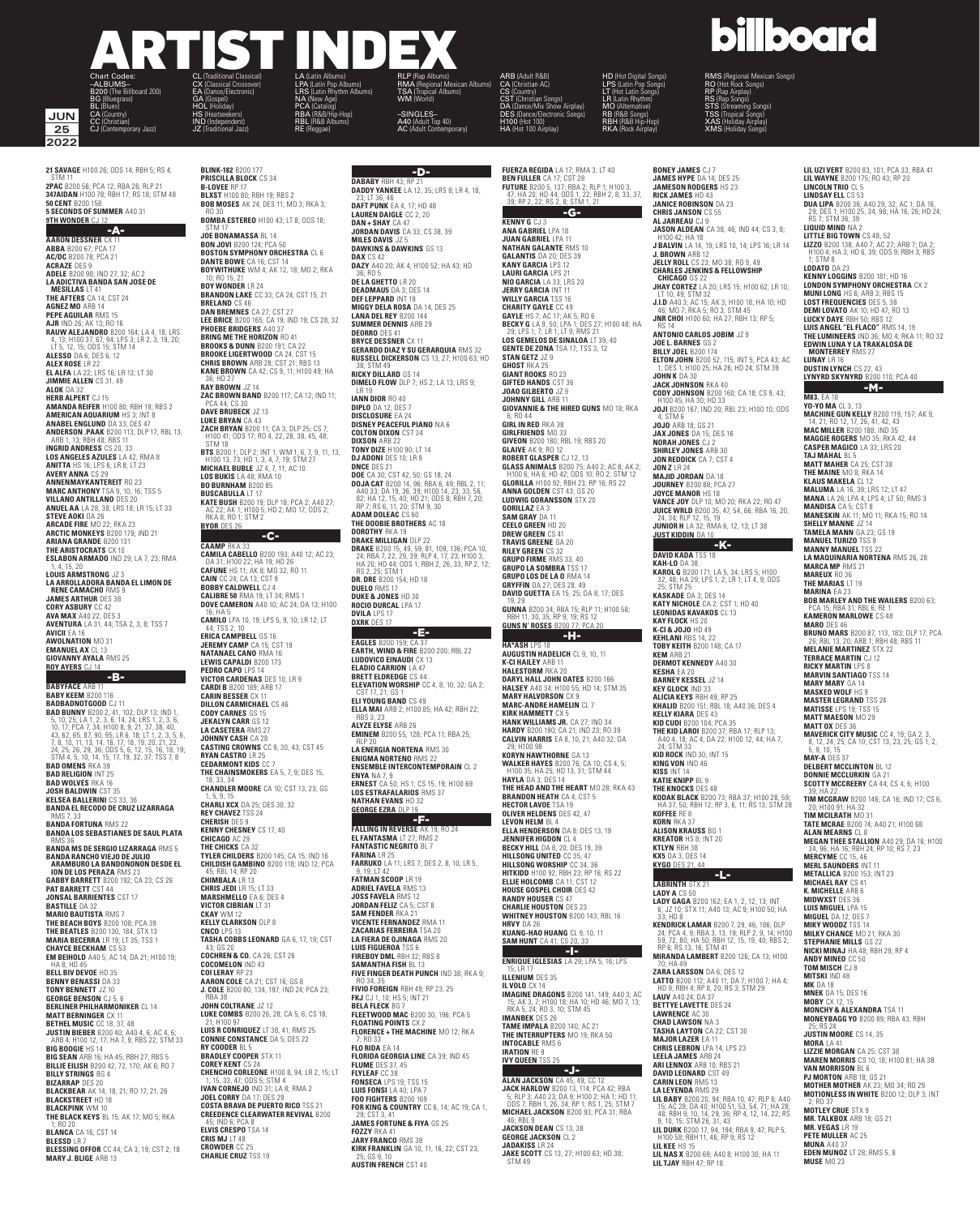#### ARTIST INDEX –ALBUMS– CX (Classical Crossover) LPA (Latin Pop Albums) RMA (Regional Mexican Albums)

LRS (Latin Rhythm Albums) NA (New Age) PCA (Catalog) RBA (R&B/Hip-Hop) RBL (R&B Albums) RE (Reggae)

**MON JUN 25 2022 252022**

**21 SAVAGE** H100 26; ODS 14; RBH 5; RS 4; **2PAC** B200 56; PCA 12; RBA 26; RLP 21 **347AIDAN** H100 78; RBH 17; RS 18; STM 48 **50 CENT** B200 158 **5 SECONDS OF SUMMER** A40 31 **9TH WONDER** CJ 12

 $-A-$ 

B200 (The Billboard 200) BG (Bluegrass) BL (Blues) CA (Country) CC (Christian) CJ (Contemporary Jazz)

**AARON DESSNER** CX 11 **ABBA** B200 67; PCA 17 **AC/DC** B200 78; PCA 21 **ACRAZE** DES 9<br>**ADELE** B200 98: IND 27, 32: AC 2 **ADELE B200 98; IND 27, 32; AC 2<br>
LA ADICTIVA BANDA SAN JOSE DE<br>
MESILLAS LT 41<br>
THE AFTERS CA 14; CST 24<br>
AGNEZ MO ARB 14<br>
AGNEZ MO ARB 14<br>
PEPE AGUILAR RMS 15<br>
BAN IND 26; AK 13; RO 16<br>
BANN ALEJANDRO B200 164; LA 4, 18; AMERICAN AQUARIUM** HS 3; INT 8<br>**ANABELEMGLUND** DA 33; DES 47<br>**ANDERSON .PAAK B**200 113; DLP 17; RBL 13;<br>ARD **ERSON .PAAK B**200 113; DLP 17; RBL 13;<br>**INGRID ANDRESS C**S 20, 33<br>**LOS ANGELES AZULES** LA 42; RMA 8<br>**LOS ANGELES ARIANA GRANDE** B200 131 **THE ARISTOCRATS** CX 10 **ESLABON ARMADO** IND 29; LA 7, 23; RMA

1, 4, 15, 20 **LOUIS ARMSTRONG** JZ 3 **LA ARROLLADORA BANDA EL LIMON DE RENE CAMACHO** RMS 9 **JAMES ARTHUR** DES 38 **CORY ASBURY** CC 42 **AVA MAX** A40 22; DES 3 **AVENTURA** LA 31, 44; TSA 2, 3, 8; TSS 7 **AVICII** EA 16 **AWOLNATION** MO 31 **EMANUEL AX** CL 13 **GIOVANNY AYALA** RMS 25 **ROY AYERS** CJ 14

-B- **BABYFACE** ARB 11 **BABY KEEM** B200 116<br>**BADBADNOTGOOD** CJ 11 **BADBADNOTGOOD** CJ 11<br> **BADBADNOTGOOD** CJ 11<br> **5.** 10.25: LA 1, 2, 3, 6, 14, 24; LRS 1, 2, 3, 6,<br>
10, 17; PCA7, 34; H100 8, 9, 21, 37, 38, 40,<br>
43, 62, 65, 87, 90, 95: LR 6, 18; 11, 12, 38, 40,<br>
43, 62, 65, 87, 90, 95: LR **JOSH BALDWIN** CST 35 **KELSEA BALLERINI** CS 33, 36 **BANDA EL RECODO DE CRUZ LIZARRAGA** RMS 7, 33 **BANDA FORTUNA** RMS 22 **BANDA LOS SEBASTIANES DE SAUL PLATA BANDA MS DE SERGIO LIZARRAGA** RMS 5<br>**BANDA RANCHO VIEJO DE JULIO<br><b>ARAMBURO LA BANDONONON DESDE EL<br><b>ION DE LOS PERAZA** RMS 23<br>**ION DE LOS PERAZA** RMS 23<br>**GABBY BARRETT B**200 192; CA 23; CS 26 **PAT BARRETT** CST 44 **JONSAL BARRIENTES** CST 17 **BASTILLE** DA 32<br>**Mario Bautista** RMS 7<br>**The Beach Boys** B200 108; PCA 39<br>**The Beatles** B200 130, 184; STX 13<br>**CHAYCE BECKRIAM** CS 53<br>**CMAYEL BEACHAM** CS 53<br>**EM BEIHOLD** A40 5; AC 14; DA 21; H100 19;

HA 8; HD 45 **BELL BIV DEVOE** HD 35 **BENNY BENASSI** DA 33 **TONY BENNETT** JZ 10 **GEORGE BENSON** CJ 5, 6 **BERLINER PHILHARMONIKER CL 14 MATT BERNINGER** CX 11<br>**BETHEL MUSIC** CC 18, 37, 48<br>**JUSTIN BIEBER** B200 40; A40 4, 6; AC 4, 6;<br>ARB 4; H100 12, 17; HA 7, 9; RBS 22; STM 33<br>**BIG BOOGIE** HS 14<br>**BIG SEAN** ARB 16: HA 45; RBH 27; RBS 5<br>**BILLIE EILISH** B200 42 **BLACKSTREET** HD 18 **BLACKPINK** WM 10 **THE BLACK KEYS** BL 15; AK 17; MO 5; RKA

1; RO 20 **BLANCA** CA 16; CST 14 **BLESSD** LR 7 **BLESSING OFFOR** CC 44; CA 3, 19; CST 2, 18

**MARY J. BLIGE** ARR 13

**BLINK-182** B200 177 **PRISCILLA BLOCK** CS 34 **B-LOVEE** RP 17 **BLXST** H100 80; RBH 19; RBS 2

EA (Dance/Electronic) GA (Gospel) HOL (Holiday) HS (Heatseekers) IND (Independent) JZ (Traditional Jazz)

### **BOB MOSES** AK 24; DES 11; MO 3; RKA 3; RO 30 **BOMBA ESTEREO** H100 43; LT 8; ODS 18;<br>STM 17

STM 17<br>**JOE BONAMASSA** BL 14 **BON JOVI** B200 124; PCA 50 **BOSTON SYMPHONY ORCHESTRA** CL 6 **DANTE BOWE** CA 16; CST 14 **BOYWITHUKE** WM 4; AK 12, 18; MO 2; RKA 10; RO 15, 21 **BOY WONDER** LR 24 **BRANDON LAKE** CC 33; CA 24; CST 15, 21<br>**DAN BREMNES** CA 6<br>**DAN BREMNES** CA 27; CST 27<br>**LEE BRICE** B200 165; CA 19; IND 19; CS 28, 32<br>**PHOEBE BRIDGERS** A40 37<br>**BRING ME THE HORIZON** RO 41 **BROOKS & DUNN** B200 191; CA 22 **BROOKE LIGERTWOOD** CA 24; CST 15 **CHRIS BROWN** ARB 28; CST 21; RBS 13 **KANE BROWN** CA 42; CS 9, 11; H100 49; HA 36; HD 27 **RAY BROWN** JZ 14 **ZAC BROWN BAND** B200 117; CA 12; IND 11; PCA 44; CS 30 **DAVE BRUBECK** JZ 13 **LUKE BRYAN** CA 43<br>**ZACH BRYAN** B200 11; CA 3; DLP 25; CS 7;<br>H100 41; ODS 17; RO 4, 22, 28, 38, 45, 48;<br>STM 18

**BTS** B200 1; DLP 2; INT 1; WM 1, 6, 7, 9, 11, 13;<br>
H100 13, 73; HD 1, 3, 4, 7, 19; STM 27<br> **MICHAEL BUBLE** J2 4, 7, 11; AC 10<br> **LOS BUKIS** LA 48; RMA 10<br> **EUS BURNHAM** B200 85<br> **EUSCABULLA** LT 17<br> **KATE BUSH** B200 19; DLP

## **BYOR** DES 26<br>**-C-**

**CAAMP** RKA 33<br>**CAMILA CABELLO** B200 193: A40 12: AC 23: **CAMILA CABELLO** B200 193; A40 12; AC 23;<br>DA 31; H100 22; HA 19; HD 32<br>**CAFUNE** HS 11; AK 8; MO 32; RO 11<br>**CAIN** CC 24; CA 13; CST 9<br>**BOBBY CALDWELL** CJ 4<br>**CALIBRE 50 RMA** 19; LT 34; RMS 1<br>**DOVE CAMERON** A40 10; AC 24; DA 16; HA 5<br>**CAMILO** LPA 10, 19; LPS 5, 9, 10; LR 12; LT<br>**44; TSS 2, 10<br><b>JEREMY CAMP BELL** GS 16; CST 19<br>**JEREMY CAMO** RMA 16<br>**NATANAEL CANO** RMA 16 **LEWIS CAPALDI** B200 173 **PEDRO CAPO** LPS 14 **VICTOR CARDENAS** DES 10; LR 9 **CARDI B** B200 189; ARB 17 **CARIN BESSER** CX 11 **DILLON CARMICHAEL CS 46<br><b>CODY CARMES G**S 15<br>**JEKALYN CARR** GS 12<br>**LA CASETERA** RMS 27<br>**JOHNNY CASH CA 28<br><b>CASTING CROWNS** CC 9, 30, 43; CST 45 **RYAN CASTRO** LR 25 **CEDARMONT KIDS** CC 7 **THE CHAINSMOKERS** EA 5, 7, 9; DES 15, 18, 33, 34 **CHANDLER MOORE** CA 10; CST 13, 23; GS 1, 5, 9, 15 **CHARLI XCX** DA 25; DES 30, 32 **REY CHAVEZ** TSS 24 **CHERISH DES 9<br><b>KENNY CHESNEY** CS 17, 40 KENNY CHESNEY CS 17, 40<br>CHICAGO AC 29<br>THE CHICKS CA 32<br>TYLER CHILDERS B200 145; CA 15; IND 16<br>CHILDISH GAMBINO B200 118; IND 12; PCA<br>45; RBL 14; RP 20<br>CHIMBALA LR 13<br>MARSHMELLO EA 6; DES 4 **VICTOR CIBRIAN** LT 31 **CKAY** WM 12 **KELLY CLARKSON** DLP 8 **CNCO** LPS 13 **TASHA COBBS LEONARD** GA 6, 17, 19; CST 43; GS 20<br>**COCHREN & CO**. CA 26; CST 26<br>**COCHRELON** IND 43<br>**AARON COLE** CA 21; CST 16; GS 8<br>**J. COLE** B200 80, 134, 197; IND 24; PCA 23;<br>**J. COLE** B200 80, 134, 197; IND 24; PCA 23; RBA 38 **JOHN COLTRANE** JZ 12 **LUKE COMBS** B200 26, 28; CA 5, 6; CS 18, 21; H100 97 **LUIS R CONRIQUEZ** LT 38, 41; RMS 25 **CONNIE CONSTANCE** DA 5; DES 22 **RY COODER** BL 5 **BRADLEY COOPER** STX 11 **COREY KENT CS 24**<br>**CHENCHO CORLEONE** H100 8, 94; LR 2, 15; LT<br>1, 15, 33, 47; ODS 5; STM 4<br>**IVAN CORNEJO** IND 31; LA 8; RMA 2<br>**JOEL CORRY** DA 17; DES 29<br>**COSTA BRAVA DE PUERTO RICO** TSS 21<br>**CREEDENCE CLEARWATER REVIVAL** B2 **ELVIS CRESPO** TSA 14 **CRIS MJ** LT 48 **CROWDER** CC 25 **CHARLIE CRUZ** TSS 19

-D- **DABABY** RBH 43; RP 21 **DADDY YANKEE** LA 12, 35; LRS 8; LR 4, 18, 23; LT 36, 46 **DAFT PUNK** EA 4, 17; HD 48 **LAUREN DAIGLE** CC 2, 20 **DAN + SHAY** CA 47 **JORDAN DAVIS** CA 33; CS 38, 39 **MILES DAVIS** JZ 5 **DAWKINS & DAWKINS** GS 13 **DAX** CS 42 **DAZY** A40 20; AK 4; H100 52; HA 43; HD 36; RO 5 **DE LA GHETTO** LR 20 **DEADMAU5** DA 3; DES 14 DEF LEPPARD INT 19<br>Miggy Dela Rosa da 14; des 25<br>Lana del Rey B200 144<br>Summer Dennis ARB 29<br>Deorro Des 41<br>Gerardo Diaz Y Su Gerarquia RMS 32<br>Russell Dickerson CS 13, 27; H100 63; HD 38; STM 49 **RICKY DILLARD** GS 14 **DIMELO FLOW** DLP 7; HS 2; LA 13; LRS 9; LR 19 **IANN DIOR** RO 40 **DIPLO** DA 12; DES 7 **DISCLOSURE** EA 24 **DISNEY PEACEFUL PIANO** NA 6<br>**COLTON DIXON** CST 34<br>**DIXSON** ARB 22<br>**TONY DIZE** H100 90; LT 14<br>**DJ ADONI** DES 10; LR 9<br>**DNCE** DES 21<br>**DOE** CA 30; CST 42, 50; GS 18, 24<br>**DDE** CA 30; CST 42, 50; GS 18, 24 **DOJA CAT** B200 14, 96; RBA 6, 49; RBL 2, 11; A40 33; DA 19, 36, 39; H100 14, 23, 33, 56, 87; P40 15, 23, 36, 25, RP 7; RS 6, 11, 20; STM 9, 30<br>RP 7; RS 6, 11, 20; STM 9, 30<br>RP 7; RS 6, 11, 20; STM 9, 30<br>**ADAM DOLEAC** CS 6 **DOROTHY** RKA 19 **DRAKE MILLIGAN** DLP 22 **DRAKE** B200 15, 49, 59, 81, 109, 136; PCA 10,<br>**24, RBA 7, 22**, 29, 39; RLP 4, 17, 23; H100 3;<br>HA 20; HD 44; ODS 1; RBH 2, 26, 33; RP 2, 12;<br>RS 2, 25; STM 1<br>**DR.PS** B200 154; HD 18<br>**DUELO** RMS 17<br>**DUELO RMS 17**<br>**ROCIO DURC DVILA** LPS 17 **DXRK** DES 17 -E-

TSA (Tropical Albums) WM (World)

–SINGLES– A40 (Adult Top 40) AC (Adult Contemporary)

**EAGLES** B200 159; CA 37 **EARTH, WIND & FIRE** B200 200; RBL 22 LUDOVICO EINAUDI CX 13<br>ELADIO CARRION LA 47<br>BRETT ELDREDGE CS 44<br>ELEVATION WORSHIP CC 4, 8, 10, 32; GA 2;<br>CST 17, 21; GS 1<br>ELLA MAI ARB 2; H100 85; HA 42; RBH 22; RBS 3, 23<br>**ALYZE ELYSE** ARB 26<br>**EMINEM B200 55, 128; PCA 11; RBA 25;<br>RLP 20<br><b>ENIGMA NORTENO** RMS 22<br>**ENIGMA NORTENO RMS 22**<br>**ENIGMA NORTENO RMS 22 ENYA** NA 7, 9 **ERNEST** CA 50; HS 1; CS 15, 19; H100 69 **LOS ESTRAFALARIOS** RMS 37 **NATHAN EVANS** HD 32 **GEORGE EZRA** DLP 19 -F- **FALLING IN REVERSE** AK 19; RO 24 **EL FANTASMA** LT 27; RMS 2<br>**EL FANTASMA** LT 27; RMS 2<br>**FANTASTIC NEGRITO** BL 7 **FARINASTIC NEGRITO** BL 7<br>**FARINA** LR 25<br>**FARRUKO** LA 11; LRS 7; DES 2, 8, 10; LR 5,<br>\_9, 19; LT 42<br>**FATMAN SCOOP** LR 19<br>**ADRIEL FAVELA** RMS 13 **JOSS FAVELA** RMS 12 **JORDAN FELIZ** CA 5; CST 8 **SAM FENDER** RKA 21 **VICENTE FERNANDEZ** RMA 11

**ZACARIAS FERREIRA** TSA 20 **LA FIERA DE OJINAGA** RMS 20<br>**Luis Figueroa** TSS 6<br>**FIREBOY DML** RBH 32; RBS 8<br>**SAMANTHA FISH** BL 13<br>**FIVE FINGER DEATH PUNCH** IND 38; RKA 9; RO 34, 35 **FIVIO FOREIGN** RBH 49; RP 23, 25 **FKJ** CJ 1, 10; HS 5; INT 21 **BELA FLECK** BG 7 **FLEETWOOD MAC** B200 30, 196; PCA 5 **FLOATING POINTS** CX 2 **FLORENCE + THE MACHINE** MO 12; RKA 7; RO 33 **FLO RIDA** EA 14 FLORIDA GEORGIA LINE CA 39; IND 45<br>Flyine des 37, 45<br>Flyleaf CC 38<br>Fonseca LPS 19; TSS 15<br>Luis Fonsi LA 40; LPA 7<br>TOR KING & COUNTRY CC 6, 14; AC 19; CA 1, 29; CST 3, 41 **JAMES FORTUNE & FIYA** GS 25 **FOZZY** RKA 41 **JARY FRANCO** RMS 38 **KIRK FRANKLIN** GA 10, 11, 16, 22; CST 23,

25; GS 9, 10 **AUSTIN FRENCH** CST 40

**KENNY G** CJ 3 **ANA GABRIEL** LPA 18 **JUAN GABRIEL** LPA 11 **NATHAN GALANTE** RMS 10 **GALANTIS** DA 20; DES 39 **KANY GARCIA** LPS 12 **LAURI GARCIA** LPS 21 **NIO GARCIA** LA 33; LRS 20 **JERRY GARCIA** INT 11 **WILLY GARCIA** TSS 16<br>**GAYIE IS 2011**<br>GAYLE HS 7; AC 17; AK 5; RO 6<br>BECKY G LA 9, 50; LPA 1; DES 27; H100 48; HA<br>29; LPS 1, 7; LR 1; LT 9; RMS 21<br>LOS GEMELOS DE SINALOA LT 39, 40<br>GENTE DE ZONA TSA 17; TSS 3, 12<br>STAN GETZ J **GHOST** RKA 25 **GIANT ROOKS** RO 23 **GIFTED HANDS** CST 36 **JOAO GILBERTO** JZ 9 **JOHNNY GILL** ARB 11 **GIOVANNIE & THE HIRED GUNS** MO 18; RKA 6; RO 44<br>GIRL IN RED RKA 38 **GIRL IN RED** RKA 38<br>**GIVERTENDS M**O 33<br>**GIVEON B**200 180; RBL 19; RBS 20<br>**GIVEON B**200 180; RBL 19; RBS 20<br>**GLAIVE** AK 9; RO 12<br>**GLASS ANIMALS** B200 75; A40 2; AC 8; AK 2;<br>H100 6; HA 6; HD 42; ODS 10; RO 2; STM 12<br>**GLORIL GORILLAZ** EA 3 **SAM GRAY** DA 11 **CEELO GREEN HD 20<br>DREW GREEN CS 41 DREW GREEN** CS 41 **TRAVIS GREENE** GA 20 **RILEY GREEN** CS 32 **GRUPO FIRME** RMS 33, 40 **GRUPO LA SOMBRA** TSS 17 **GRUPO LOS DE LA O** RMA 14 **GRYFFIN** DA 27; DES 28, 49 **DAVID GUETTA** EA 15, 25; DA 8, 17; DES 19, 29 **GUNNA** B200 34; RBA 15; RLP 11; H100 58; RBH 11, 30, 35; RP 9, 19; RS 12 **GUNS N' ROSES** B200 77; PCA 20 -H- **HA\*ASH** LPS 18 **AUGUSTIN HADELICH** CL 9, 10, 11 **K-CI HAILEY** ARB 11 **HALESTORM** RKA 20 **DARYL HALL JOHN OATES** B200 166 **HALSEY** A40 34; H100 55; HD 14; STM 35 **MARY HALVORSON** CX 9 **MARC-ANDRE HAMELIN** CL 7 **KIRK HAMMETT** CX 5 **HANK WILLIAMS JR.** CA 27; IND 34 **HARDY** B200 190; CA 21; IND 23; RO 39 **CALVIN HARRIS** EA 8, 10, 21; A40 32; DA 29; H100 98 **KORYN HAWTHORNE** GA 13 **WALKER HAYES** B200 76; CA 10; CS 4, 5;<br>H100 35; HA 25; HD 13, 31; STM 44<br>**HAYLA** DA 3; DES 14<br>**THE HEAD AND THE HEART** MO 28; RKA 43 **BRANDON HEATH** CA 4: CST 5 **HECTOR LAVOE** TSA 19 **OLIVER HELDENS** DES 42, 47 **LEVON HELM** BL 4 **ELLA HENDERSON** DA 8; DES 13, 19 **JENNIFER HIGDON** CL 4 **BECKY HILL** DA 8, 20; DES 19, 39 **HILLSONG UNITED** CC 35, 47 **HILLSONG WORSHIP** CC 34, 36 **HITKIDD** H100 92; RBH 23; RP 16; RS 22<br>**ELLIE HOLCOMB** CA 11; CST 12 **ELLIE HOLCOMB** CA 11; CST 12<br>HOUSE GOSPEL CHOIR DES 42<br>**RANDY HOUSER CS 47**<br>CHARLIE HOUSTON DES 23<br>WHITNEY HOUSTON B200 143; RBL 16<br>HRVY DA 26<br>KUANG-HAO HUANG CL 9, 10, 11<br>SAM HUNT CA 41; CS 20, 33<br>ENRIQUE IGLESIAS LA 29; 15; LR 17 **ILLENIUM** DES 35 **IL VOLO** CX 14<br>**IMAGINE DRAGONS** B200 141, 149; A40 3; AC<br>15; AK 3, 7; H100 18; HA 10; HD 46; MO 7, 13;<br>FRA 5, 24; RO 3, 10; STM 45<br>**IMANBEK** DES 26<br>**TAME IMPALA** B200 140; AC 21<br>**THE INTERRUPTERS** MO 19; RKA 50<br>**INTOCABL IRATION** RE 9 **IVY QUEEN** TSS 25

ARB (Adult R&B)<br>CA (Christian AC)<br>CST (Christian Songs)<br>DA (Dance/Mix Show Airplay)<br>DA (Dance/Mix Show Airplay)<br>HES (Dance/Electronic Songs)<br>H100 (Hot 100)<br>HA (Hot 100 Airplay)

**FUERZA REGIDA** LA 17; RMA 3; LT 40<br>**BEN FULLER** CA 17; CST 28<br>**FUTURE** B200 5, 137; RBA 2; RLP 1; H100 3,<br>47; HA 20; HD 44; ODS 1, 22; RBH 2, 8, 33, 37,<br>39; RP 2, 22; RS 2, 8; STM 1, 21  $-$ 

HD (Hot Digital Songs) LPS (Latin Pop Songs) LT (Hot Latin Songs) LR (Latin Rhythm) MO (Alternative) RB (R&B Songs) RBH (R&B Hip-Hop) RKA (Rock Airplay)

## -J-J-**ALAN JACKSON** CA 45, 49; CC 12<br>**JACK HARLOW** B200 13, 114; PCA 42; RBA<br>5; RLP 3; A40 23; DA 9; H100 2; HA 1; HD 11;<br>0DS 7; RBH 1, 26, 34; RP 1; RS 1, 25; STM 7<br>**MICHAEL JACKSON** B200 93; PCA 31; RBA

46; RBL 9 **JACKSON DEAN** CS 13, 38 **GEORGE JACKSON** CL 2 **JADAKISS** LR 24 **JAKE SCOTT** CS 13, 27; H100 63; HD 38; STM 49

**billboard** al Mexican So RO (Hot Rock Songs) RP (Rap Airplay)

RS (Rap Songs) STS (Streaming Songs) TSS (Tropical Songs) XAS (Holiday Airplay) XMS (Holiday Songs)

**BONEY JAMES** CJ 7 **JAMES HYPE** DA 14; DES 25 **JAMESON RODGERS** HS 23 **RICK JAMES** HD 43 **JANICE ROBINSON** DA 23 **CHRIS JANSON** CS 55 **AL JARREAU** CJ 9 **JASON ALDEAN** CA 38, 46; IND 44; CS 3, 8; H<sub>100</sub> 42; HA 18<br>**JBALVIN** LA 14. 19: LRS 10. 14: LPS 16: LR 14 **J BALVIN** LA 14, 19; LRS 10, 14; LPS 16; LR 14<br> **J. BROWN ARB 12**<br> **JELLY ROLL CS 23**; MO 38; RO 9, 49<br> **CHARLES JENKINS & FELLOWSHIP<br>
CHICAGO GS 22<br>
JHAV CORTEZ LA 20; LRS 15; H100 62; LR 10;<br>
LT 10, 49; STM 32<br>
J.I.D A4** RS 14 **ANTONIO CARLOS JOBIM** JZ 9 **JOE L. BARNES** GS 2 **BILLY JOEL** B200 174 **ELTON JOHN** B200 52, 115; INT 5; PCA 43; AC 1; DES 1; H100 25; HA 26; HD 24; STM 39 **JOHN K** DA 30 **JACK JOHNSON** RKA 40 **CODY JOHNSON** B200 160; CA 18; CS 9, 43; H100 45; HA 30; HD 33 **JOJI** B200 167; IND 20; RBL 23; H100 10; ODS 4; STM 6 **JOJO** ARB 18; GS 21 **JAX JONES** DA 15; DES 16 **NORAH JONES** CJ 2 **SHIRLEY JONES** ARB 30 **JON REDDICK** CA 7; CST 4 **JON Z** LR 24 **MAJID JORDAN** DA 18<br>**JOYCE MANOR HS 18**<br>**JOYCE MANOR HS 18**<br>**JOYCE MANOR HS 18**<br>JUICE WRLD B200 35, 47, 54, 66; RBA 16, 20,<br>**JUICE WRLD** B200 35, 47, 54, 66; RBA 16, 20,<br>24, 34; RLP 12, 15, 19<br>**JUINTOR H** LA 32; RMA 6, 12 **DAVID KADA** TSS 18<br>**KAH-LO** DA 38<br>**KAROL G** B200 171; LA 5, 34; LRS 5; H100<br>32, 48; HA 29; LPS 1, 2; LR 1; LT 4, 9; ODS<br>**ZS; STM 25**<br>**KASKADE** DA 3; DES 14<br>**KATY NICHOLE** CA 2; CST 1; HD 40<br>**KATY NICHOLE** CA 2; CST 1; HD **KEHLANI** RBS 14, 22 **TOBY KEITH** B200 148; CA 17 **KEM** ARB 21 **DERMOT KENNEDY** A40 30 **KESHA** EA 20<br>**RARNEY KESSEL** 17 14 **BARNEY KESSEL** JZ 14<br>**ALV GLOCK** IND 33<br>**ALICIA KEYS** RBH 49: RP 25<br>**KHALID** B200 151; RBL 18; A40 36; DES 4<br>**KELLY KIARA** DES 43<br>**KID CUDI B200 104; PCA 35<br>THE <b>KID LAROI** B200 37; RBA 17; RLP 13;<br>A40 4, 18: AC 4; DA 22; **KING VON** IND 46 **KISS** INT 14 **KATIE KNIPP** BL 9<br>**THE KNOCKS DE**S 48<br>**KODAK BLACK** B200 73; RBA 37; H100 28, 59;<br>|HA 37, 50; RBH 12; RP 3, 6, 11; RS 13; STM 28<br>**KORN** RKA 37<br>**KORN** RKA 37 **ALISON KRAUSS** BG 1 **KREATOR** HS 8; INT 20 **KTLYN** RBH 38 **KX5** DA 3; DES 14 **KYGO** DES 21, 44 -L- **LABRINTH** STX 21

**LADY A** CS 50<br>**LADY GAGA** B200 162; EA 1, 2, 12, 13; INT<br>- 6; JZ 10; STX 11; A40 13; AC 9; H100 50; HA<br>- 33; HD 8 **KENDRICK LAMAR** B200 7, 29, 46, 186; DLP<br>
24; PCA 4, 9; RBA 3, 13, 19; RLP 2, 9, 14; H100<br>
59, 72, 80; HA 50; RBH 12, 15, 19, 40; RBS 2;<br>RP 6; RS 13, 16; STM 41 **MIRANDA LAMBERT** B200 126; CA 13; H100 70; HA 49

**ZARA LARSSON** DA 6; DES 12<br>**LATTO** B200 112; A40 11; DA 7; H100 7; HA 4;<br>HD 9; RBH 4; RP 8, 20; RS 3; STM 29<br>**LAUV** A40 24; DA 37<br>**LAWRENCE** AC 30<br>**CHAD LAWSON** NA 3<br>**CHAD LAWSON** NA 3 **TASHA LAYTON** CA 22; CST 30 **MAJOR LAZER** EA 11 **CHRIS LEBRON** LPA 14; LPS 23<br>**ARI LENAMES ARE 24**<br>**ARI LENNOX** ARB 10; RBS 21<br>**DAVID LEONARD** CST 49<br>**CARIN LEON RMS** 13<br>**LIL BABY B200 20**, 94; RBA 10, 47; RLP 6; A40<br>**LIL BABY B200 20**, 94; RBA 10, 47; RLP 6; A40<br>48; RB **LIL DURK** B200 17, 94, 194; RBA 9, 47; RLP 5; H100 58; RBH 11, 46; RP 9; RS 12 **LIL KEE** HS 15 **LIL NAS X** B200 69; A40 8; H100 30; HA 11 **LIL TJAY** RBH 47; RP 18

**LIL UZI VERT** B200 83, 101; PCA 33; RBA 41 **LIL WAYNE** B200 175; RO 43; RP 20 **LINCOLN TRIO** CL 5 **LINDSAY ELL** CS 53 **DUA LIPA** B200 36; A40 29, 32; AC 1; DA 16, 29; DES 1; H100 25, 34, 98; HA 16, 26; HD 24; RS 7; STM 36, 39 **LIQUID MIND** NA 2 **LITTLE BIG TOWN** CS 48, 52 **LIZZO** B200 138; A40 7; AC 27; ARB 7; DA 2;<br>FHOO 4; HA 3; HD 6, 39; ODS 9; RBH 3; RBS<br>T; STM 8<br>**LODATO** DA 23<br>**KENNY LOGGINS** B200 181; HD 16<br>**LONDON SYMPHONY ORCHESTRA** CX 2 **MUNI LONG** HS 6; ARB 3; RBS 15 LOST FREQUENCIES DES 5, 38<br>DEMI LOVATO AK 10; HD 47; RO 13<br>LUCKY DAYE RBH 50; RBS 12<br>LUIS ANGEL "EL FLACO" RMS 14, 19<br>THE LUMINEERS IND 36; MO 4; RKA 11; RO 32<br>EDWIN LUNA Y LA TRAKALOSA DE<br>MONTERREY RMS 27 LUNAY LR 16<br>Dustin Lynch CS 22, 43<br>Lynyrd Skynyrd B200 110; PCA 40<br>**-M-M83.** EA 18 **YO-YO MA** CL 3, 13 **MACHINE GUN KELLY** B200 119, 157; AK 9, 14, 21; RO 12, 17, 26, 41, 42, 43 **MAC MILLER** B200 188; IND 35 **MAGGIE ROGERS** MO 35; RKA 42, 44 **CASPER MAGICO** LA 33; LRS 20 **TAJ MAHAL** BL 5 **MATT MAHER** CA 25; CST 38<br>**THE MAINE MO** 8; RKA 14<br>**KLAUS MAKELA** CL 12<br>**MALUMA** LA 16, 39; LRS 12; LT 47<br>**MANA LA** 26; LPA 4; LPS 4; LT 50; RMS 3<br>**MANDISA** CA 5; CST 8<br>**MANDISA** CA 5; CST 8<br>**SHELLY MANN** GA 23; GS 19<br>**TA MANUEL TURIZO** TSS 9 **MANNY MANUEL** TSS 22 **LA MAQUINARIA NORTENA** RMS 26, 28 **MARCA MP** RMS 21<br>**Mareux** RO 36<br>**The Marias** LT 19<br>**MARINA EA 23<br>BOB MARLEY AND THE WAILERS** B200 63; PCA 15; RBA 31; RBL 6; RE 1 **KAMERON MARLOWE** CS 48 **MARO** DES 46 **BRUNO MARS** B200 87, 113, 183; DLP 17; PCA 26; RBL 13, 20; ARB 1; RBH 48; RBS 11 **MELANIE MARTINEZ** STX 22 **TERRACE MARTIN** CJ 12 **RICKY MARTIN** LPS 8 **MARVIN SANTIAGO** TSS 14

**MARY MARY GA145**<br> **MASYED WOLF HS 9<br>
MASTER LEGRAND TSS 24<br>
MATT MAESON MO 29<br>
MATT MAESON MO 29<br>
MATT MX DES 36<br>
MATT MX DES 36<br>
MAVERICK CITY MUSIC CC 4, 19; GA 2, 3,<br>
8, 12, 24, 25; CA 10; CST 13, 23, 25; GS 1, 2,<br>
<b>MA TIM MCGRAW** B200 146; CA 16; IND 17; CS 6, 20; H100 91; HA 32 **TIM MCILRATH** MO 31 **TATE MCRAE** B200 74; A40 21; H100 68 **ALAN MEARNS** CL 8 **MEGAN THEE STALLION** A40 29; DA 16; H100<br>34, 96; HA 16; RBH 24; RP 10; RS 7, 23<br>**MERCYME** CC 15, 46<br>**MERL SAUNDERS** INT 11 **METALLICA** B200 153; INT 23<br>**MICHAEL RAY** CS 41<br>**K. MICHELLE** ARB 6<br>**MIDWXST** DES 36<br>**LUIS MIGUEL** LPA 15<br>**MIKY WOODZ** TSS 14<br>**MIKY WOODZ** TSS 14 **MILKY CHANCE** MO 21; RKA 30 **STEPHANIE MILLS** GS 22 **NICKI MINAJ** HA 48; RBH 29; RP 4 **ANDY MINEO** CC 50 **TOM MISCH** CJ 8 **MITSKI** IND 48 **MK** DA 18 **MNEK** DA 15; DES 16 **MOBY** CX 12, 15 **MONCHY & ALEXANDRA** TSA 11 **MONEYBAGG YO** B200 89; RBA 43; RBH 25; RS 24 **JUSTIN MOORE** CS 14, 35 **MORA** LA 41 **LIZZIE MORGAN** CA 25; CST 38<br>**Maren Morris C**S 10, 18; H100 81; HA 38<br>**VAN MORRISON** BL 6<br>**PJ MORTON ARB 18;** GS 21<br>**MOTHER MOTHER A**K 23; MO 34; RO 29<br>**MOTHER MOTHER A**K 23; MO 34; RO 29<br>2; RO 37 **MOTLEY CRUE** STX 9

**MR. TALKBOX** ARB 18; GS 21 **MR. VEGAS** LR 19 **PETE MULLER** AC 25 **MUNA** A40 37 **EDEN MUNOZ** LT 28; RMS 5, 8 **MUSE** MO 23